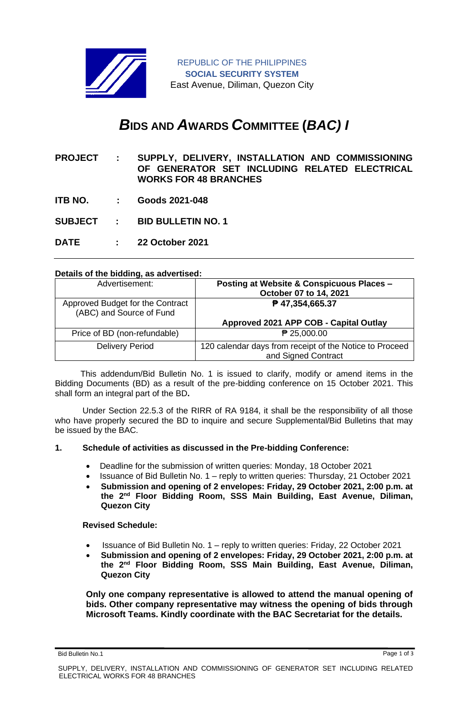

# *B***IDS AND** *A***WARDS** *C***OMMITTEE (***BAC) I*

- **PROJECT : SUPPLY, DELIVERY, INSTALLATION AND COMMISSIONING OF GENERATOR SET INCLUDING RELATED ELECTRICAL WORKS FOR 48 BRANCHES**
- **ITB NO. : Goods 2021-048**
- **SUBJECT : BID BULLETIN NO. 1**
- **DATE : 22 October 2021**

## **Details of the bidding, as advertised:**

| Advertisement:                                               | <b>Posting at Website &amp; Conspicuous Places -</b><br>October 07 to 14, 2021 |
|--------------------------------------------------------------|--------------------------------------------------------------------------------|
| Approved Budget for the Contract<br>(ABC) and Source of Fund | ₱ 47,354,665.37                                                                |
|                                                              | Approved 2021 APP COB - Capital Outlay                                         |
| Price of BD (non-refundable)                                 | ₱ 25,000.00                                                                    |
| <b>Delivery Period</b>                                       | 120 calendar days from receipt of the Notice to Proceed<br>and Signed Contract |

 This addendum/Bid Bulletin No. 1 is issued to clarify, modify or amend items in the Bidding Documents (BD) as a result of the pre-bidding conference on 15 October 2021. This shall form an integral part of the BD**.**

Under Section 22.5.3 of the RIRR of RA 9184, it shall be the responsibility of all those who have properly secured the BD to inquire and secure Supplemental/Bid Bulletins that may be issued by the BAC.

#### **1. Schedule of activities as discussed in the Pre-bidding Conference:**

- Deadline for the submission of written queries: Monday, 18 October 2021
- Issuance of Bid Bulletin No. 1 reply to written queries: Thursday, 21 October 2021
- **Submission and opening of 2 envelopes: Friday, 29 October 2021, 2:00 p.m. at the 2nd Floor Bidding Room, SSS Main Building, East Avenue, Diliman, Quezon City**

#### **Revised Schedule:**

- Issuance of Bid Bulletin No. 1 reply to written queries: Friday, 22 October 2021
- **Submission and opening of 2 envelopes: Friday, 29 October 2021, 2:00 p.m. at the 2nd Floor Bidding Room, SSS Main Building, East Avenue, Diliman, Quezon City**

**Only one company representative is allowed to attend the manual opening of bids. Other company representative may witness the opening of bids through Microsoft Teams. Kindly coordinate with the BAC Secretariat for the details.**

Bid Bulletin No.1 Page 1 of 3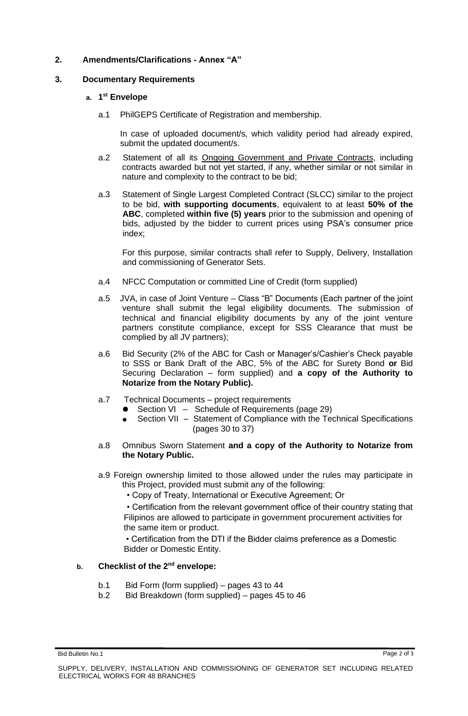# **2. Amendments/Clarifications - Annex "A"**

## **3. Documentary Requirements**

## **a. 1 st Envelope**

a.1 PhilGEPS Certificate of Registration and membership.

In case of uploaded document/s, which validity period had already expired, submit the updated document/s.

- a.2 Statement of all its Ongoing Government and Private Contracts, including contracts awarded but not yet started, if any, whether similar or not similar in nature and complexity to the contract to be bid;
- a.3 Statement of Single Largest Completed Contract (SLCC) similar to the project to be bid, **with supporting documents**, equivalent to at least **50% of the ABC**, completed **within five (5) years** prior to the submission and opening of bids, adjusted by the bidder to current prices using PSA's consumer price index;

For this purpose, similar contracts shall refer to Supply, Delivery, Installation and commissioning of Generator Sets.

- a.4 NFCC Computation or committed Line of Credit (form supplied)
- a.5 JVA, in case of Joint Venture Class "B" Documents (Each partner of the joint venture shall submit the legal eligibility documents. The submission of technical and financial eligibility documents by any of the joint venture partners constitute compliance, except for SSS Clearance that must be complied by all JV partners);
- a.6 Bid Security (2% of the ABC for Cash or Manager's/Cashier's Check payable to SSS or Bank Draft of the ABC, 5% of the ABC for Surety Bond **or** Bid Securing Declaration – form supplied) and **a copy of the Authority to Notarize from the Notary Public).**
- a.7 Technical Documents project requirements
	- Section VI Schedule of Requirements (page 29)
		- Section VII Statement of Compliance with the Technical Specifications (pages 30 to 37)
- a.8 Omnibus Sworn Statement **and a copy of the Authority to Notarize from the Notary Public.**
- a.9 Foreign ownership limited to those allowed under the rules may participate in this Project, provided must submit any of the following:
	- Copy of Treaty, International or Executive Agreement; Or

• Certification from the relevant government office of their country stating that Filipinos are allowed to participate in government procurement activities for the same item or product.

• Certification from the DTI if the Bidder claims preference as a Domestic Bidder or Domestic Entity.

# **b. Checklist of the 2nd envelope:**

- b.1 Bid Form (form supplied) pages 43 to 44
- b.2 Bid Breakdown (form supplied) pages 45 to 46

Bid Bulletin No.1 Page 2 of 3